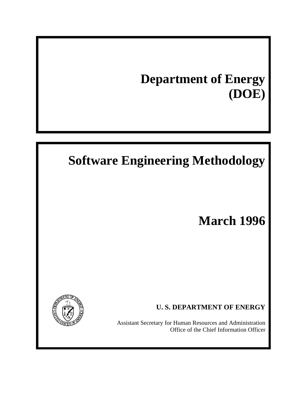# **Department of Energy (DOE)**

# **Software Engineering Methodology**

# **March 1996**



**U. S. DEPARTMENT OF ENERGY**

Assistant Secretary for Human Resources and Administration Office of the Chief Information Officer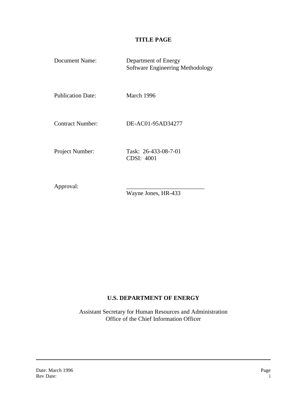## **TITLE PAGE**

| Document Name:           | Department of Energy<br>Software Engineering Methodology |
|--------------------------|----------------------------------------------------------|
| <b>Publication Date:</b> | March 1996                                               |
| <b>Contract Number:</b>  | DE-AC01-95AD34277                                        |
| Project Number:          | Task: 26-433-08-7-01<br><b>CDSI: 4001</b>                |

Approval:

Wayne Jones, HR-433

### **U.S. DEPARTMENT OF ENERGY**

Assistant Secretary for Human Resources and Administration Office of the Chief Information Officer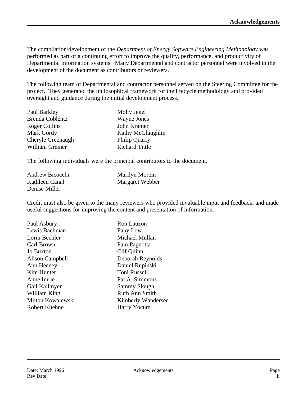The compilation/development of the *Department of Energy Software Engineering Methodology* was performed as part of a continuing effort to improve the quality, performance, and productivity of Departmental information systems. Many Departmental and contractor personnel were involved in the development of the document as contributors or reviewers.

The following team of Departmental and contractor personnel served on the Steering Committee for the project. They generated the philosophical framework for the lifecycle methodology and provided oversight and guidance during the initial development process.

| Paul Barkley           | Molly Jekel           |
|------------------------|-----------------------|
| <b>Brenda Coblentz</b> | Wayne Jones           |
| Roger Collins          | John Kramer           |
| Mark Gordy             | Kathy McGlaughlin     |
| Cheryle Greenaugh      | <b>Philip Quarry</b>  |
| William Greiner        | <b>Richard Tittle</b> |

The following individuals were the principal contributors to the document.

| Andrew Bicocchi | <b>Marilyn Morein</b> |
|-----------------|-----------------------|
| Kathleen Canal  | Margaret Webber       |
| Denise Miller   |                       |

Credit must also be given to the many reviewers who provided invaluable input and feedback, and made useful suggestions for improving the content and presentation of information.

| Paul Asbury          | Ron Lauzon                |
|----------------------|---------------------------|
| Lewis Bachman        | Fahy Low                  |
| Lorin Beehler        | Michael Mullan            |
| Carl Brown           | Pam Pagnotta              |
| Jo Buxton            | Clif Quinn                |
| Alison Campbell      | Deborah Reynolds          |
| Ann Heeney           | Daniel Rupinski           |
| Kim Hunter           | Toni Russell              |
| Anne Imrie           | Pat A. Simmons            |
| Gail Kallmyer        | <b>Sammy Slough</b>       |
| William King         | Ruth Ann Smith            |
| Milton Kowalewski    | <b>Kimberly Wandersee</b> |
| <b>Robert Kuehne</b> | Harry Yocum               |
|                      |                           |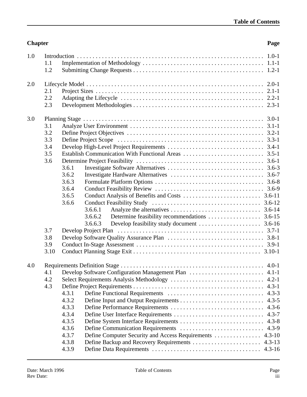## 1.1 Implementation of Methodology ....................................... 1.1-1 1.2 Submitting Change Requests .......................................... 1.2-1 2.0 Lifecycle Model ......................................................... 2.0-1 2.1 Project Sizes ...................................................... 2.1-1 2.2 Adapting the Lifecycle .............................................. 2.2-1 2.3 Development Methodologies .......................................... 2.3-1 3.0 Planning Stage .......................................................... 3.0-1 3.1 Analyze User Environment ........................................... 3.1-1 3.2 Define Project Objectives ............................................ 3.2-1 3.3 Define Project Scope ............................................... 3.3-1 3.4 Develop High-Level Project Requirements ............................... 3.4-1 3.5 Establish Communication With Functional Areas .......................... 3.5-1 3.6 Determine Project Feasibility ......................................... 3.6-1 3.6.1 Investigate Software Alternatives ............................... 3.6-3 3.6.2 Investigate Hardware Alternatives .............................. 3.6-7 3.6.3 Formulate Platform Options ................................... 3.6-8 3.6.4 Conduct Feasibility Review ................................... 3.6-9 3.6.5 Conduct Analysis of Benefits and Costs ......................... 3.6-11 3.6.6 Conduct Feasibility Study ................................... 3.6-12  $3.6.6.1$  Analyze the alternatives  $\dots \dots \dots \dots \dots \dots \dots \dots \dots$  3.6-14 3.6.6.2 Determine feasibility recommendations ................. 3.6-15 3.6.6.3 Develop feasibility study document .................... 3.6-16 3.7 Develop Project Plan ............................................... 3.7-1 3.8 Develop Software Quality Assurance Plan ............................... 3.8-1 3.9 Conduct In-Stage Assessment ......................................... 3.9-1 3.10 Conduct Planning Stage Exit ......................................... 3.10-1 4.0 Requirements Definition Stage .............................................. 4.0-1 4.1 Develop Software Configuration Management Plan ........................ 4.1-1 4.2 Select Requirements Analysis Methodology .............................. 4.2-1 4.3 Define Project Requirements .......................................... 4.3-1 4.3.1 Define Functional Requirements ............................... 4.3-3 4.3.2 Define Input and Output Requirements ........................... 4.3-5

**Chapter Page**

1.0 Introduction ............................................................ 1.0-1

| 4.3.3 |  |
|-------|--|
| 434   |  |
| 4.3.5 |  |
|       |  |
| 437   |  |
| 4.3.8 |  |
| 4.3.9 |  |
|       |  |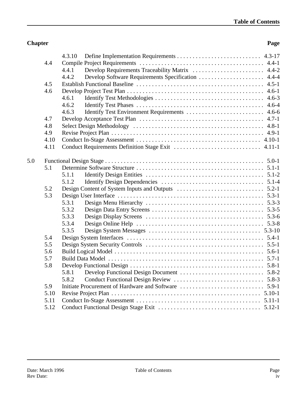### **Chapter Page**

|     |      | 4.3.10 |
|-----|------|--------|
|     | 4.4  |        |
|     |      | 4.4.1  |
|     |      | 4.4.2  |
|     | 4.5  |        |
|     | 4.6  |        |
|     |      | 4.6.1  |
|     |      | 4.6.2  |
|     |      | 4.6.3  |
|     | 4.7  |        |
|     | 4.8  |        |
|     | 4.9  |        |
|     | 4.10 |        |
|     | 4.11 |        |
| 5.0 |      |        |
|     | 5.1  |        |
|     |      | 5.1.1  |
|     |      | 5.1.2  |
|     | 5.2  |        |
|     | 5.3  |        |
|     |      | 5.3.1  |
|     |      | 5.3.2  |
|     |      | 5.3.3  |
|     |      | 5.3.4  |
|     |      | 5.3.5  |
|     | 5.4  |        |
|     | 5.5  |        |
|     | 5.6  |        |
|     | 5.7  |        |
|     | 5.8  |        |
|     |      | 5.8.1  |
|     |      | 5.8.2  |
|     | 5.9  |        |
|     | 5.10 |        |
|     | 5.11 |        |
|     | 5.12 |        |
|     |      |        |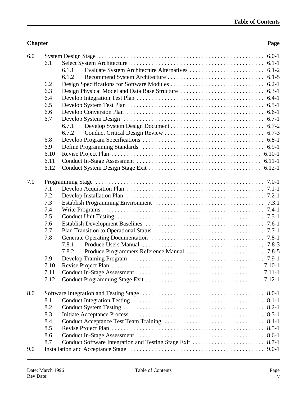### **Chapter Page**

| 6.0 |      |                                                                  |
|-----|------|------------------------------------------------------------------|
|     | 6.1  |                                                                  |
|     |      | 6.1.1                                                            |
|     |      | 6.1.2                                                            |
|     | 6.2  |                                                                  |
|     | 6.3  |                                                                  |
|     | 6.4  |                                                                  |
|     | 6.5  |                                                                  |
|     | 6.6  |                                                                  |
|     | 6.7  |                                                                  |
|     |      | 6.7.1                                                            |
|     |      | 6.7.2                                                            |
|     | 6.8  |                                                                  |
|     | 6.9  |                                                                  |
|     | 6.10 |                                                                  |
|     | 6.11 |                                                                  |
|     | 6.12 |                                                                  |
|     |      |                                                                  |
| 7.0 |      |                                                                  |
|     | 7.1  |                                                                  |
|     | 7.2  |                                                                  |
|     | 7.3  |                                                                  |
|     | 7.4  |                                                                  |
|     | 7.5  |                                                                  |
|     | 7.6  |                                                                  |
|     | 7.7  |                                                                  |
|     | 7.8  |                                                                  |
|     |      | 7.8.1                                                            |
|     |      | 7.8.2                                                            |
|     | 7.9  |                                                                  |
|     | 7.10 |                                                                  |
|     | 7.11 |                                                                  |
|     | 7.12 |                                                                  |
|     |      |                                                                  |
| 8.0 |      |                                                                  |
|     | 8.1  |                                                                  |
|     | 8.2  |                                                                  |
|     | 8.3  |                                                                  |
|     | 8.4  | $8.4 - 1$                                                        |
|     | 8.5  | $8.5 - 1$                                                        |
|     | 8.6  | $8.6 - 1$                                                        |
|     | 8.7  | Conduct Software Integration and Testing Stage Exit<br>$8.7 - 1$ |
| 9.0 |      | $9.0 - 1$                                                        |